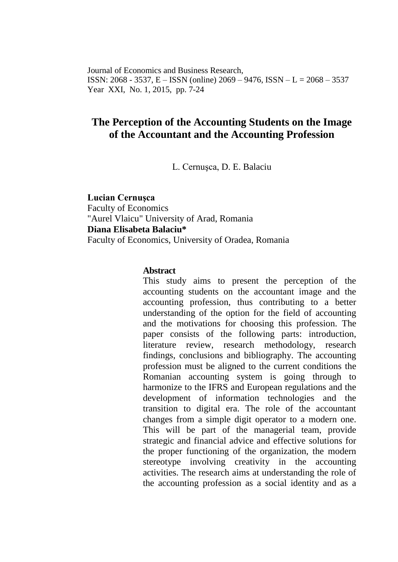Journal of Economics and Business Research, ISSN: 2068 - 3537, E – ISSN (online) 2069 – 9476, ISSN – L = 2068 – 3537 Year XXI, No. 1, 2015, pp. 7-24

# **The Perception of the Accounting Students on the Image of the Accountant and the Accounting Profession**

L. Cernuşca, D. E. Balaciu

**Lucian Cernuşca** Faculty of Economics "Aurel Vlaicu" University of Arad, Romania **Diana Elisabeta Balaciu\*** Faculty of Economics, University of Oradea, Romania

#### **Abstract**

This study aims to present the perception of the accounting students on the accountant image and the accounting profession, thus contributing to a better understanding of the option for the field of accounting and the motivations for choosing this profession. The paper consists of the following parts: introduction, literature review, research methodology, research findings, conclusions and bibliography. The accounting profession must be aligned to the current conditions the Romanian accounting system is going through to harmonize to the IFRS and European regulations and the development of information technologies and the transition to digital era. The role of the accountant changes from a simple digit operator to a modern one. This will be part of the managerial team, provide strategic and financial advice and effective solutions for the proper functioning of the organization, the modern stereotype involving creativity in the accounting activities. The research aims at understanding the role of the accounting profession as a social identity and as a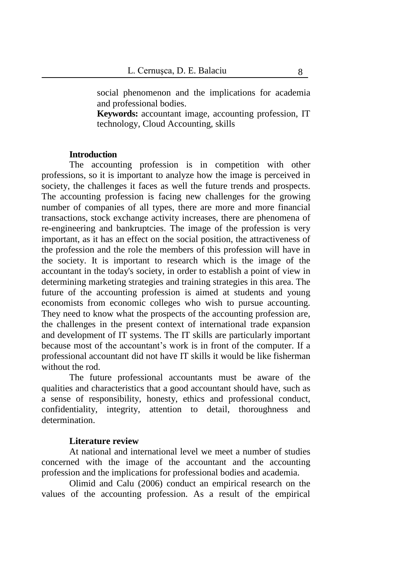social phenomenon and the implications for academia and professional bodies.

**Keywords:** accountant image, accounting profession, IT technology, Cloud Accounting, skills

### **Introduction**

The accounting profession is in competition with other professions, so it is important to analyze how the image is perceived in society, the challenges it faces as well the future trends and prospects. The accounting profession is facing new challenges for the growing number of companies of all types, there are more and more financial transactions, stock exchange activity increases, there are phenomena of re-engineering and bankruptcies. The image of the profession is very important, as it has an effect on the social position, the attractiveness of the profession and the role the members of this profession will have in the society. It is important to research which is the image of the accountant in the today's society, in order to establish a point of view in determining marketing strategies and training strategies in this area. The future of the accounting profession is aimed at students and young economists from economic colleges who wish to pursue accounting. They need to know what the prospects of the accounting profession are, the challenges in the present context of international trade expansion and development of IT systems. The IT skills are particularly important because most of the accountant's work is in front of the computer. If a professional accountant did not have IT skills it would be like fisherman without the rod.

The future professional accountants must be aware of the qualities and characteristics that a good accountant should have, such as a sense of responsibility, honesty, ethics and professional conduct, confidentiality, integrity, attention to detail, thoroughness and determination.

### **Literature review**

At national and international level we meet a number of studies concerned with the image of the accountant and the accounting profession and the implications for professional bodies and academia.

Olimid and Calu (2006) conduct an empirical research on the values of the accounting profession. As a result of the empirical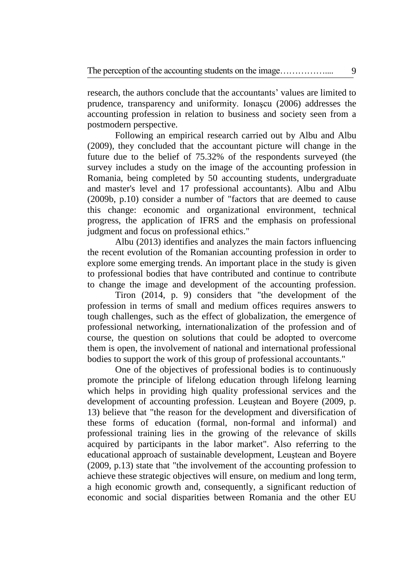research, the authors conclude that the accountants' values are limited to prudence, transparency and uniformity. Ionaşcu (2006) addresses the accounting profession in relation to business and society seen from a postmodern perspective.

Following an empirical research carried out by Albu and Albu (2009), they concluded that the accountant picture will change in the future due to the belief of 75.32% of the respondents surveyed (the survey includes a study on the image of the accounting profession in Romania, being completed by 50 accounting students, undergraduate and master's level and 17 professional accountants). Albu and Albu (2009b, p.10) consider a number of "factors that are deemed to cause this change: economic and organizational environment, technical progress, the application of IFRS and the emphasis on professional judgment and focus on professional ethics."

Albu (2013) identifies and analyzes the main factors influencing the recent evolution of the Romanian accounting profession in order to explore some emerging trends. An important place in the study is given to professional bodies that have contributed and continue to contribute to change the image and development of the accounting profession.

Tiron (2014, p. 9) considers that "the development of the profession in terms of small and medium offices requires answers to tough challenges, such as the effect of globalization, the emergence of professional networking, internationalization of the profession and of course, the question on solutions that could be adopted to overcome them is open, the involvement of national and international professional bodies to support the work of this group of professional accountants."

One of the objectives of professional bodies is to continuously promote the principle of lifelong education through lifelong learning which helps in providing high quality professional services and the development of accounting profession. Leuştean and Boyere (2009, p. 13) believe that "the reason for the development and diversification of these forms of education (formal, non-formal and informal) and professional training lies in the growing of the relevance of skills acquired by participants in the labor market". Also referring to the educational approach of sustainable development, Leuştean and Boyere (2009, p.13) state that "the involvement of the accounting profession to achieve these strategic objectives will ensure, on medium and long term, a high economic growth and, consequently, a significant reduction of economic and social disparities between Romania and the other EU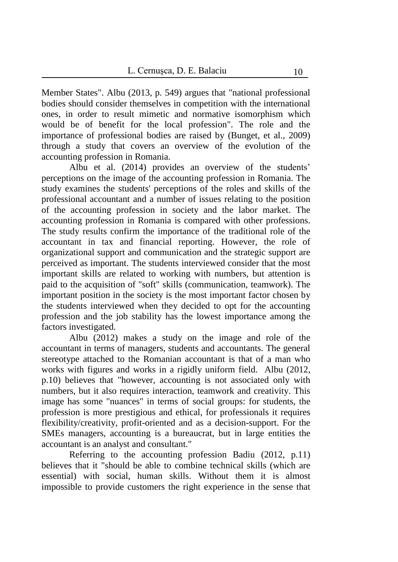Member States". Albu (2013, p. 549) argues that "national professional bodies should consider themselves in competition with the international ones, in order to result mimetic and normative isomorphism which would be of benefit for the local profession". The role and the importance of professional bodies are raised by (Bunget, et al., 2009) through a study that covers an overview of the evolution of the accounting profession in Romania.

Albu et al. (2014) provides an overview of the students' perceptions on the image of the accounting profession in Romania. The study examines the students' perceptions of the roles and skills of the professional accountant and a number of issues relating to the position of the accounting profession in society and the labor market. The accounting profession in Romania is compared with other professions. The study results confirm the importance of the traditional role of the accountant in tax and financial reporting. However, the role of organizational support and communication and the strategic support are perceived as important. The students interviewed consider that the most important skills are related to working with numbers, but attention is paid to the acquisition of "soft" skills (communication, teamwork). The important position in the society is the most important factor chosen by the students interviewed when they decided to opt for the accounting profession and the job stability has the lowest importance among the factors investigated.

Albu (2012) makes a study on the image and role of the accountant in terms of managers, students and accountants. The general stereotype attached to the Romanian accountant is that of a man who works with figures and works in a rigidly uniform field. Albu (2012, p.10) believes that "however, accounting is not associated only with numbers, but it also requires interaction, teamwork and creativity. This image has some "nuances" in terms of social groups: for students, the profession is more prestigious and ethical, for professionals it requires flexibility/creativity, profit-oriented and as a decision-support. For the SMEs managers, accounting is a bureaucrat, but in large entities the accountant is an analyst and consultant."

Referring to the accounting profession Badiu (2012, p.11) believes that it "should be able to combine technical skills (which are essential) with social, human skills. Without them it is almost impossible to provide customers the right experience in the sense that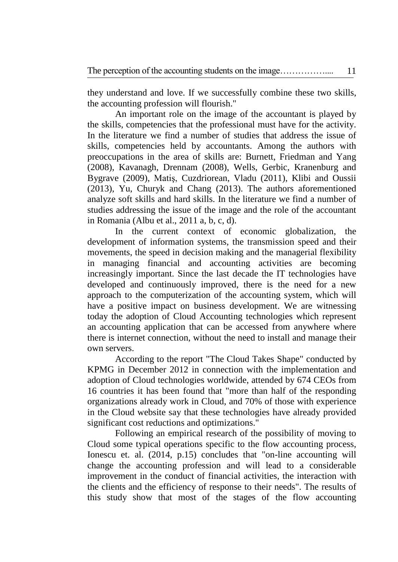they understand and love. If we successfully combine these two skills, the accounting profession will flourish."

An important role on the image of the accountant is played by the skills, competencies that the professional must have for the activity. In the literature we find a number of studies that address the issue of skills, competencies held by accountants. Among the authors with preoccupations in the area of skills are: Burnett, Friedman and Yang (2008), Kavanagh, Drennam (2008), Wells, Gerbic, Kranenburg and Bygrave (2009), Matiş, Cuzdriorean, Vladu (2011), Klibi and Oussii (2013), Yu, Churyk and Chang (2013). The authors aforementioned analyze soft skills and hard skills. In the literature we find a number of studies addressing the issue of the image and the role of the accountant in Romania (Albu et al., 2011 a, b, c, d).

In the current context of economic globalization, the development of information systems, the transmission speed and their movements, the speed in decision making and the managerial flexibility in managing financial and accounting activities are becoming increasingly important. Since the last decade the IT technologies have developed and continuously improved, there is the need for a new approach to the computerization of the accounting system, which will have a positive impact on business development. We are witnessing today the adoption of Cloud Accounting technologies which represent an accounting application that can be accessed from anywhere where there is internet connection, without the need to install and manage their own servers.

According to the report "The Cloud Takes Shape" conducted by KPMG in December 2012 in connection with the implementation and adoption of Cloud technologies worldwide, attended by 674 CEOs from 16 countries it has been found that "more than half of the responding organizations already work in Cloud, and 70% of those with experience in the Cloud website say that these technologies have already provided significant cost reductions and optimizations."

Following an empirical research of the possibility of moving to Cloud some typical operations specific to the flow accounting process, Ionescu et. al. (2014, p.15) concludes that "on-line accounting will change the accounting profession and will lead to a considerable improvement in the conduct of financial activities, the interaction with the clients and the efficiency of response to their needs". The results of this study show that most of the stages of the flow accounting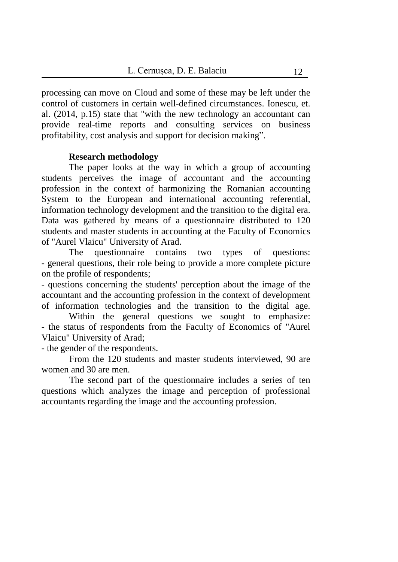processing can move on Cloud and some of these may be left under the control of customers in certain well-defined circumstances. Ionescu, et. al. (2014, p.15) state that "with the new technology an accountant can provide real-time reports and consulting services on business profitability, cost analysis and support for decision making".

### **Research methodology**

The paper looks at the way in which a group of accounting students perceives the image of accountant and the accounting profession in the context of harmonizing the Romanian accounting System to the European and international accounting referential, information technology development and the transition to the digital era. Data was gathered by means of a questionnaire distributed to 120 students and master students in accounting at the Faculty of Economics of "Aurel Vlaicu" University of Arad.

The questionnaire contains two types of questions: - general questions, their role being to provide a more complete picture on the profile of respondents;

- questions concerning the students' perception about the image of the accountant and the accounting profession in the context of development of information technologies and the transition to the digital age.

Within the general questions we sought to emphasize: - the status of respondents from the Faculty of Economics of "Aurel Vlaicu" University of Arad;

- the gender of the respondents.

From the 120 students and master students interviewed, 90 are women and 30 are men.

The second part of the questionnaire includes a series of ten questions which analyzes the image and perception of professional accountants regarding the image and the accounting profession.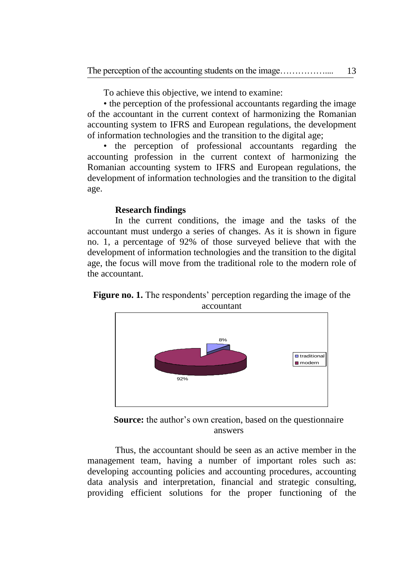To achieve this objective, we intend to examine:

• the perception of the professional accountants regarding the image of the accountant in the current context of harmonizing the Romanian accounting system to IFRS and European regulations, the development of information technologies and the transition to the digital age;

• the perception of professional accountants regarding the accounting profession in the current context of harmonizing the Romanian accounting system to IFRS and European regulations, the development of information technologies and the transition to the digital age.

## **Research findings**

In the current conditions, the image and the tasks of the accountant must undergo a series of changes. As it is shown in figure no. 1, a percentage of 92% of those surveyed believe that with the development of information technologies and the transition to the digital age, the focus will move from the traditional role to the modern role of the accountant.

**Figure no. 1.** The respondents' perception regarding the image of the accountant



**Source:** the author's own creation, based on the questionnaire answers

Thus, the accountant should be seen as an active member in the management team, having a number of important roles such as: developing accounting policies and accounting procedures, accounting data analysis and interpretation, financial and strategic consulting, providing efficient solutions for the proper functioning of the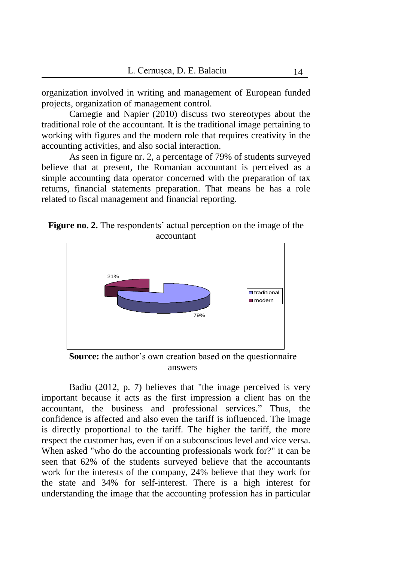organization involved in writing and management of European funded projects, organization of management control.

Carnegie and Napier (2010) discuss two stereotypes about the traditional role of the accountant. It is the traditional image pertaining to working with figures and the modern role that requires creativity in the accounting activities, and also social interaction.

As seen in figure nr. 2, a percentage of 79% of students surveyed believe that at present, the Romanian accountant is perceived as a simple accounting data operator concerned with the preparation of tax returns, financial statements preparation. That means he has a role related to fiscal management and financial reporting.





**Source:** the author's own creation based on the questionnaire answers

Badiu (2012, p. 7) believes that "the image perceived is very important because it acts as the first impression a client has on the accountant, the business and professional services." Thus, the confidence is affected and also even the tariff is influenced. The image is directly proportional to the tariff. The higher the tariff, the more respect the customer has, even if on a subconscious level and vice versa. When asked "who do the accounting professionals work for?" it can be seen that 62% of the students surveyed believe that the accountants work for the interests of the company, 24% believe that they work for the state and 34% for self-interest. There is a high interest for understanding the image that the accounting profession has in particular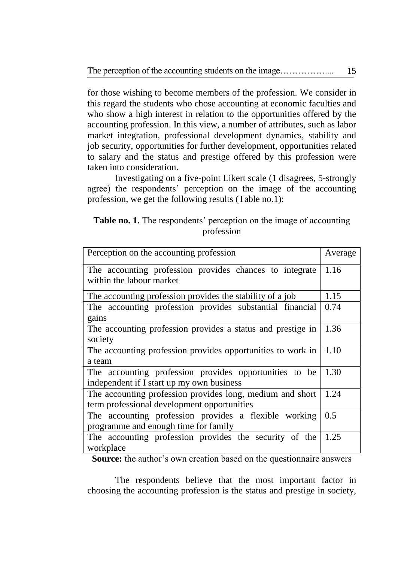for those wishing to become members of the profession. We consider in this regard the students who chose accounting at economic faculties and who show a high interest in relation to the opportunities offered by the accounting profession. In this view, a number of attributes, such as labor market integration, professional development dynamics, stability and job security, opportunities for further development, opportunities related to salary and the status and prestige offered by this profession were taken into consideration.

Investigating on a five-point Likert scale (1 disagrees, 5-strongly agree) the respondents' perception on the image of the accounting profession, we get the following results (Table no.1):

**Table no. 1.** The respondents' perception on the image of accounting profession

| Perception on the accounting profession                                                                  | Average |
|----------------------------------------------------------------------------------------------------------|---------|
| The accounting profession provides chances to integrate<br>within the labour market                      | 1.16    |
| The accounting profession provides the stability of a job                                                | 1.15    |
| The accounting profession provides substantial financial<br>gains                                        | 0.74    |
| The accounting profession provides a status and prestige in<br>society                                   | 1.36    |
| The accounting profession provides opportunities to work in<br>a team                                    | 1.10    |
| The accounting profession provides opportunities to be<br>independent if I start up my own business      | 1.30    |
| The accounting profession provides long, medium and short<br>term professional development opportunities | 1.24    |
| The accounting profession provides a flexible working<br>programme and enough time for family            | 0.5     |
| The accounting profession provides the security of the<br>workplace                                      | 1.25    |

**Source:** the author's own creation based on the questionnaire answers

The respondents believe that the most important factor in choosing the accounting profession is the status and prestige in society,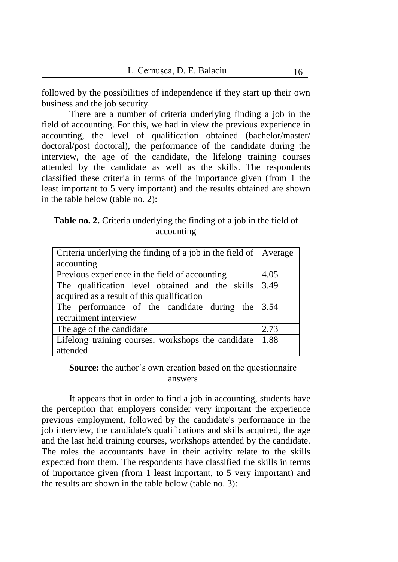followed by the possibilities of independence if they start up their own business and the job security.

There are a number of criteria underlying finding a job in the field of accounting. For this, we had in view the previous experience in accounting, the level of qualification obtained (bachelor/master/ doctoral/post doctoral), the performance of the candidate during the interview, the age of the candidate, the lifelong training courses attended by the candidate as well as the skills. The respondents classified these criteria in terms of the importance given (from 1 the least important to 5 very important) and the results obtained are shown in the table below (table no. 2):

**Table no. 2.** Criteria underlying the finding of a job in the field of accounting

| Criteria underlying the finding of a job in the field of Average     |      |
|----------------------------------------------------------------------|------|
| accounting                                                           |      |
| Previous experience in the field of accounting                       | 4.05 |
| The qualification level obtained and the skills $\vert 3.49 \rangle$ |      |
| acquired as a result of this qualification                           |      |
| The performance of the candidate during the                          | 3.54 |
| recruitment interview                                                |      |
| The age of the candidate                                             | 2.73 |
| Lifelong training courses, workshops the candidate                   | 1.88 |
| attended                                                             |      |

**Source:** the author's own creation based on the questionnaire answers

It appears that in order to find a job in accounting, students have the perception that employers consider very important the experience previous employment, followed by the candidate's performance in the job interview, the candidate's qualifications and skills acquired, the age and the last held training courses, workshops attended by the candidate. The roles the accountants have in their activity relate to the skills expected from them. The respondents have classified the skills in terms of importance given (from 1 least important, to 5 very important) and the results are shown in the table below (table no. 3):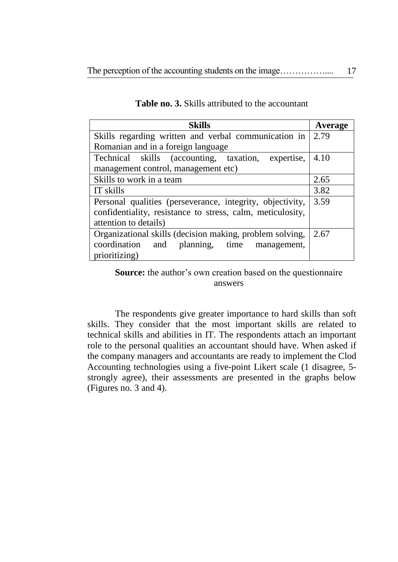| <b>Skills</b>                                              | Average |
|------------------------------------------------------------|---------|
| Skills regarding written and verbal communication in       | 2.79    |
| Romanian and in a foreign language                         |         |
| Technical skills (accounting, taxation, expertise,         | 4.10    |
| management control, management etc)                        |         |
| Skills to work in a team                                   | 2.65    |
| IT skills                                                  | 3.82    |
| Personal qualities (perseverance, integrity, objectivity,  | 3.59    |
| confidentiality, resistance to stress, calm, meticulosity, |         |
| attention to details)                                      |         |
| Organizational skills (decision making, problem solving,   | 2.67    |
| coordination and planning, time management,                |         |
| prioritizing)                                              |         |

## **Table no. 3.** Skills attributed to the accountant

**Source:** the author's own creation based on the questionnaire answers

The respondents give greater importance to hard skills than soft skills. They consider that the most important skills are related to technical skills and abilities in IT. The respondents attach an important role to the personal qualities an accountant should have. When asked if the company managers and accountants are ready to implement the Clod Accounting technologies using a five-point Likert scale (1 disagree, 5 strongly agree), their assessments are presented in the graphs below (Figures no. 3 and 4).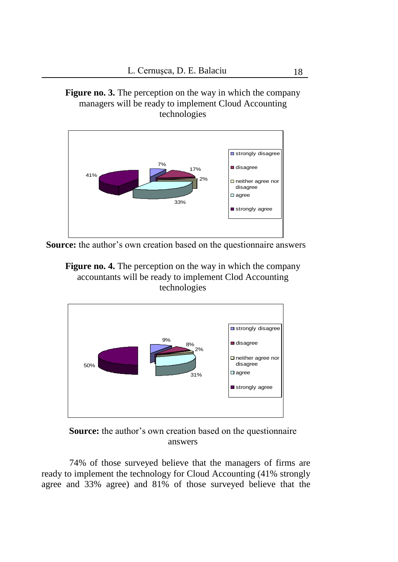**Figure no. 3.** The perception on the way in which the company managers will be ready to implement Cloud Accounting technologies



**Source:** the author's own creation based on the questionnaire answers





**Source:** the author's own creation based on the questionnaire answers

74% of those surveyed believe that the managers of firms are ready to implement the technology for Cloud Accounting (41% strongly agree and 33% agree) and 81% of those surveyed believe that the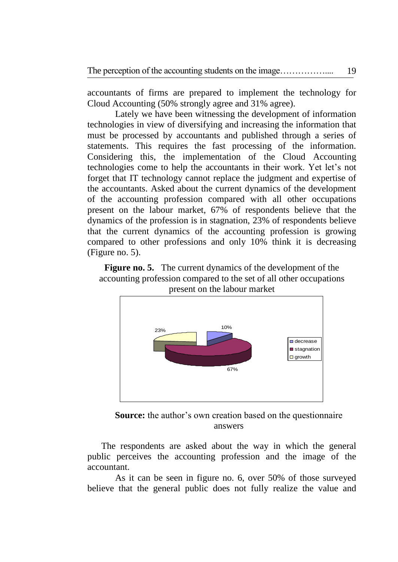accountants of firms are prepared to implement the technology for Cloud Accounting (50% strongly agree and 31% agree).

Lately we have been witnessing the development of information technologies in view of diversifying and increasing the information that must be processed by accountants and published through a series of statements. This requires the fast processing of the information. Considering this, the implementation of the Cloud Accounting technologies come to help the accountants in their work. Yet let's not forget that IT technology cannot replace the judgment and expertise of the accountants. Asked about the current dynamics of the development of the accounting profession compared with all other occupations present on the labour market, 67% of respondents believe that the dynamics of the profession is in stagnation, 23% of respondents believe that the current dynamics of the accounting profession is growing compared to other professions and only 10% think it is decreasing (Figure no. 5).

**Figure no. 5.** The current dynamics of the development of the accounting profession compared to the set of all other occupations present on the labour market

![](_page_12_Figure_4.jpeg)

**Source:** the author's own creation based on the questionnaire answers

The respondents are asked about the way in which the general public perceives the accounting profession and the image of the accountant.

As it can be seen in figure no. 6, over 50% of those surveyed believe that the general public does not fully realize the value and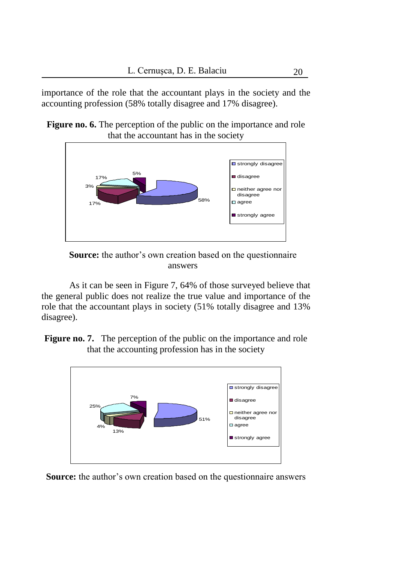importance of the role that the accountant plays in the society and the accounting profession (58% totally disagree and 17% disagree).

**Figure no. 6.** The perception of the public on the importance and role that the accountant has in the society

![](_page_13_Figure_3.jpeg)

**Source:** the author's own creation based on the questionnaire answers

As it can be seen in Figure 7, 64% of those surveyed believe that the general public does not realize the true value and importance of the role that the accountant plays in society (51% totally disagree and 13% disagree).

**Figure no. 7.** The perception of the public on the importance and role that the accounting profession has in the society

![](_page_13_Figure_7.jpeg)

**Source:** the author's own creation based on the questionnaire answers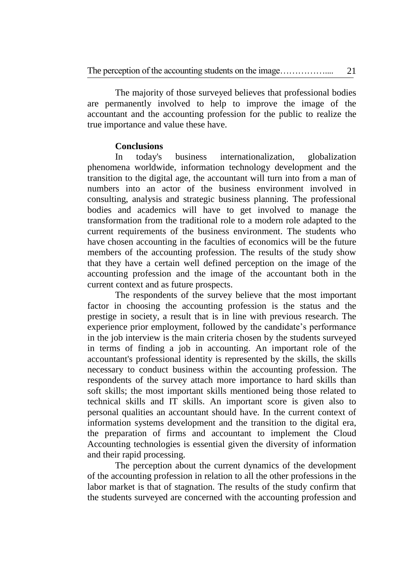The majority of those surveyed believes that professional bodies are permanently involved to help to improve the image of the accountant and the accounting profession for the public to realize the true importance and value these have.

## **Conclusions**

In today's business internationalization, globalization phenomena worldwide, information technology development and the transition to the digital age, the accountant will turn into from a man of numbers into an actor of the business environment involved in consulting, analysis and strategic business planning. The professional bodies and academics will have to get involved to manage the transformation from the traditional role to a modern role adapted to the current requirements of the business environment. The students who have chosen accounting in the faculties of economics will be the future members of the accounting profession. The results of the study show that they have a certain well defined perception on the image of the accounting profession and the image of the accountant both in the current context and as future prospects.

The respondents of the survey believe that the most important factor in choosing the accounting profession is the status and the prestige in society, a result that is in line with previous research. The experience prior employment, followed by the candidate's performance in the job interview is the main criteria chosen by the students surveyed in terms of finding a job in accounting. An important role of the accountant's professional identity is represented by the skills, the skills necessary to conduct business within the accounting profession. The respondents of the survey attach more importance to hard skills than soft skills; the most important skills mentioned being those related to technical skills and IT skills. An important score is given also to personal qualities an accountant should have. In the current context of information systems development and the transition to the digital era, the preparation of firms and accountant to implement the Cloud Accounting technologies is essential given the diversity of information and their rapid processing.

The perception about the current dynamics of the development of the accounting profession in relation to all the other professions in the labor market is that of stagnation. The results of the study confirm that the students surveyed are concerned with the accounting profession and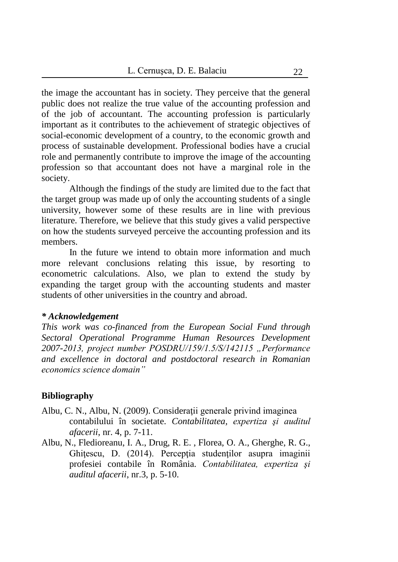the image the accountant has in society. They perceive that the general public does not realize the true value of the accounting profession and of the job of accountant. The accounting profession is particularly important as it contributes to the achievement of strategic objectives of social-economic development of a country, to the economic growth and process of sustainable development. Professional bodies have a crucial role and permanently contribute to improve the image of the accounting profession so that accountant does not have a marginal role in the society.

Although the findings of the study are limited due to the fact that the target group was made up of only the accounting students of a single university, however some of these results are in line with previous literature. Therefore, we believe that this study gives a valid perspective on how the students surveyed perceive the accounting profession and its members.

 In the future we intend to obtain more information and much more relevant conclusions relating this issue, by resorting to econometric calculations. Also, we plan to extend the study by expanding the target group with the accounting students and master students of other universities in the country and abroad.

#### *\* Acknowledgement*

*This work was co-financed from the European Social Fund through Sectoral Operational Programme Human Resources Development 2007-2013, project number POSDRU/159/1.5/S/142115 "Performance and excellence in doctoral and postdoctoral research in Romanian economics science domain"*

## **Bibliography**

- Albu, C. N., Albu, N. (2009). Consideraţii generale privind imaginea contabilului în societate. *Contabilitatea, expertiza şi auditul afacerii*, nr. 4, p. 7-11.
- Albu, N., Fledioreanu, I. A., Drug, R. E. , Florea, O. A., Gherghe, R. G., Ghiţescu, D. (2014). Percepția studenților asupra imaginii profesiei contabile în România. *Contabilitatea, expertiza şi auditul afacerii*, nr.3, p. 5-10.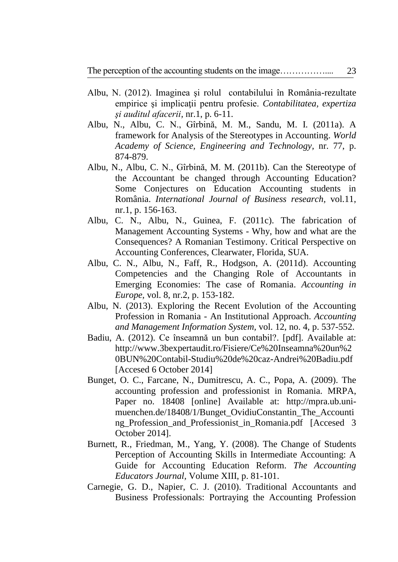- Albu, N. (2012). Imaginea şi rolul contabilului în România-rezultate empirice şi implicaţii pentru profesie. *Contabilitatea, expertiza şi auditul afacerii,* nr.1, p. 6-11.
- Albu, N., Albu, C. N., Gîrbină, M. M., Sandu, M. I. (2011a). A framework for Analysis of the Stereotypes in Accounting. *World Academy of Science, Engineering and Technology,* nr. 77, p. 874-879.
- Albu, N., Albu, C. N., Gîrbină, M. M. (2011b). Can the Stereotype of the Accountant be changed through Accounting Education? Some Conjectures on Education Accounting students in România. *International Journal of Business research,* vol.11, nr.1, p. 156-163.
- Albu, C. N., Albu, N., Guinea, F. (2011c). The fabrication of Management Accounting Systems - Why, how and what are the Consequences? A Romanian Testimony. Critical Perspective on Accounting Conferences, Clearwater, Florida, SUA.
- Albu, C. N., Albu, N., Faff, R., Hodgson, A. (2011d). Accounting Competencies and the Changing Role of Accountants in Emerging Economies: The case of Romania. *Accounting in Europe,* vol. 8, nr.2, p. 153-182.
- Albu, N. (2013). Exploring the Recent Evolution of the Accounting Profession in Romania - An Institutional Approach. *Accounting and Management Information System,* vol. 12, no. 4, p. 537-552.
- Badiu, A. (2012). Ce înseamnă un bun contabil?. [pdf]. Available at: [http://www.3bexpertaudit.ro/Fisiere/Ce%20Inseamna%20un%2](http://www.3bexpertaudit.ro/Fisiere/Ce%20Inseamna%20un%20BUN%20Contabil-Studiu%20de%20caz-Andrei%20Badiu.pdf) [0BUN%20Contabil-Studiu%20de%20caz-Andrei%20Badiu.pdf](http://www.3bexpertaudit.ro/Fisiere/Ce%20Inseamna%20un%20BUN%20Contabil-Studiu%20de%20caz-Andrei%20Badiu.pdf) [Accesed 6 October 2014]
- Bunget, O. C., Farcane, N., Dumitrescu, A. C., Popa, A. (2009). The accounting profession and professionist in Romania. MRPA, Paper no. 18408 [online] Available at: [http://mpra.ub.uni](http://mpra.ub.uni-muenchen.de/18408/1/Bunget_Ovidiu-Constantin_The_Accounting_Profession_and_Professionist_in_Romania.pdf)[muenchen.de/18408/1/Bunget\\_OvidiuConstantin\\_The\\_Accounti](http://mpra.ub.uni-muenchen.de/18408/1/Bunget_Ovidiu-Constantin_The_Accounting_Profession_and_Professionist_in_Romania.pdf) [ng\\_Profession\\_and\\_Professionist\\_in\\_Romania.pdf](http://mpra.ub.uni-muenchen.de/18408/1/Bunget_Ovidiu-Constantin_The_Accounting_Profession_and_Professionist_in_Romania.pdf) [Accesed 3 October 2014].
- Burnett, R., Friedman, [M., Yang,](mailto:M.@Yang,Y) Y. (2008). The Change of Students Perception of Accounting Skills in Intermediate Accounting: A Guide for Accounting Education Reform. *The Accounting Educators Journal,* Volume XIII, p. 81-101.
- Carnegie, G. D., Napier, C. J. (2010). Traditional Accountants and Business Professionals: Portraying the Accounting Profession